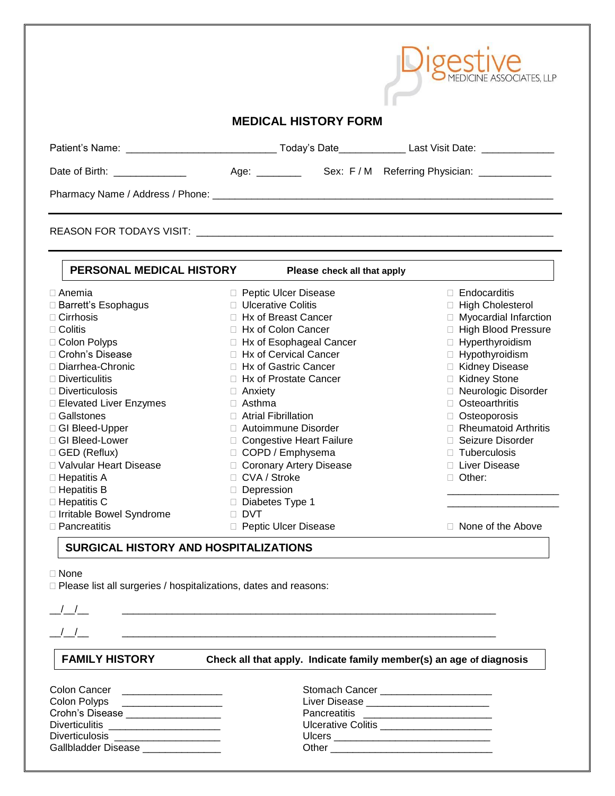|                                                                                                                                                                                                                                                                                                                                                                  |                                                                                                                                                                                                                                                                                                                                                                                                           | <b>MEDICINE ASSOCIATES, LLP</b>                                                                                                                                                                                                                                                                                                                 |  |  |  |  |  |
|------------------------------------------------------------------------------------------------------------------------------------------------------------------------------------------------------------------------------------------------------------------------------------------------------------------------------------------------------------------|-----------------------------------------------------------------------------------------------------------------------------------------------------------------------------------------------------------------------------------------------------------------------------------------------------------------------------------------------------------------------------------------------------------|-------------------------------------------------------------------------------------------------------------------------------------------------------------------------------------------------------------------------------------------------------------------------------------------------------------------------------------------------|--|--|--|--|--|
|                                                                                                                                                                                                                                                                                                                                                                  | <b>MEDICAL HISTORY FORM</b>                                                                                                                                                                                                                                                                                                                                                                               |                                                                                                                                                                                                                                                                                                                                                 |  |  |  |  |  |
|                                                                                                                                                                                                                                                                                                                                                                  |                                                                                                                                                                                                                                                                                                                                                                                                           |                                                                                                                                                                                                                                                                                                                                                 |  |  |  |  |  |
| Date of Birth: ______________                                                                                                                                                                                                                                                                                                                                    |                                                                                                                                                                                                                                                                                                                                                                                                           |                                                                                                                                                                                                                                                                                                                                                 |  |  |  |  |  |
|                                                                                                                                                                                                                                                                                                                                                                  |                                                                                                                                                                                                                                                                                                                                                                                                           |                                                                                                                                                                                                                                                                                                                                                 |  |  |  |  |  |
|                                                                                                                                                                                                                                                                                                                                                                  |                                                                                                                                                                                                                                                                                                                                                                                                           |                                                                                                                                                                                                                                                                                                                                                 |  |  |  |  |  |
| PERSONAL MEDICAL HISTORY                                                                                                                                                                                                                                                                                                                                         | Please check all that apply                                                                                                                                                                                                                                                                                                                                                                               |                                                                                                                                                                                                                                                                                                                                                 |  |  |  |  |  |
| $\Box$ Anemia<br>□ Barrett's Esophagus<br>$\Box$ Cirrhosis<br>$\Box$ Colitis<br>□ Colon Polyps<br>□ Crohn's Disease<br>□ Diarrhea-Chronic<br>$\square$ Diverticulitis<br>$\Box$ Diverticulosis<br>□ Elevated Liver Enzymes<br>$\Box$ Gallstones<br>□ GI Bleed-Upper<br>□ GI Bleed-Lower<br>$\Box$ GED (Reflux)<br>□ Valvular Heart Disease<br>$\Box$ Hepatitis A | □ Peptic Ulcer Disease<br>□ Ulcerative Colitis<br>□ Hx of Breast Cancer<br>$\Box$ Hx of Colon Cancer<br>□ Hx of Esophageal Cancer<br>□ Hx of Cervical Cancer<br>□ Hx of Gastric Cancer<br>□ Hx of Prostate Cancer<br>$\Box$ Anxiety<br>$\Box$ Asthma<br>□ Atrial Fibrillation<br>□ Autoimmune Disorder<br>□ Congestive Heart Failure<br>□ COPD / Emphysema<br>□ Coronary Artery Disease<br>□ CVA / Stroke | $\Box$ Endocarditis<br>□ High Cholesterol<br>□ Myocardial Infarction<br>□ High Blood Pressure<br>□ Hyperthyroidism<br>□ Hypothyroidism<br>□ Kidney Disease<br>□ Kidney Stone<br>□ Neurologic Disorder<br>□ Osteoarthritis<br>□ Osteoporosis<br>Rheumatoid Arthritis<br>□ Seizure Disorder<br>$\Box$ Tuberculosis<br>□ Liver Disease<br>□ Other: |  |  |  |  |  |
| $\Box$ Hepatitis B<br>$\Box$ Hepatitis C                                                                                                                                                                                                                                                                                                                         | Depression<br>$\Box$ Diabetes Type 1                                                                                                                                                                                                                                                                                                                                                                      |                                                                                                                                                                                                                                                                                                                                                 |  |  |  |  |  |

□ Pancreatitis 2000 Deptic Ulcer Disease 2000 Deptic Ulcer Disease 2009 Deptic Ulcer Disease

□ Irritable Bowel Syndrome DVT

 $\Gamma$ igoothic

## **SURGICAL HISTORY AND HOSPITALIZATIONS**

None

Please list all surgeries / hospitalizations, dates and reasons:

\_\_/\_\_/\_\_ \_\_\_\_\_\_\_\_\_\_\_\_\_\_\_\_\_\_\_\_\_\_\_\_\_\_\_\_\_\_\_\_\_\_\_\_\_\_\_\_\_\_\_\_\_\_\_\_\_\_\_\_\_\_\_\_\_\_\_\_\_\_\_\_\_\_\_

\_\_/\_\_/\_\_ \_\_\_\_\_\_\_\_\_\_\_\_\_\_\_\_\_\_\_\_\_\_\_\_\_\_\_\_\_\_\_\_\_\_\_\_\_\_\_\_\_\_\_\_\_\_\_\_\_\_\_\_\_\_\_\_\_\_\_\_\_\_\_\_\_\_\_

**FAMILY HISTORY Check all that apply. Indicate family member(s) an age of diagnosis**

| Colon Cancer          |  |
|-----------------------|--|
| Colon Polyps          |  |
| Crohn's Disease       |  |
| <b>Diverticulitis</b> |  |
| <b>Diverticulosis</b> |  |
| Gallbladder Disease   |  |
|                       |  |

| Colon Cancer                       | Stomach Cancer                       |
|------------------------------------|--------------------------------------|
| Colon Polyps                       | Liver Disease _________              |
| Crohn's Disease                    | Pancreatitis                         |
| Diverticulitis ___________________ | <b>Ulcerative Colitis</b>            |
| Diverticulosis                     | Ulcers _____________________________ |
| Gallbladder Disease ___            | Other                                |